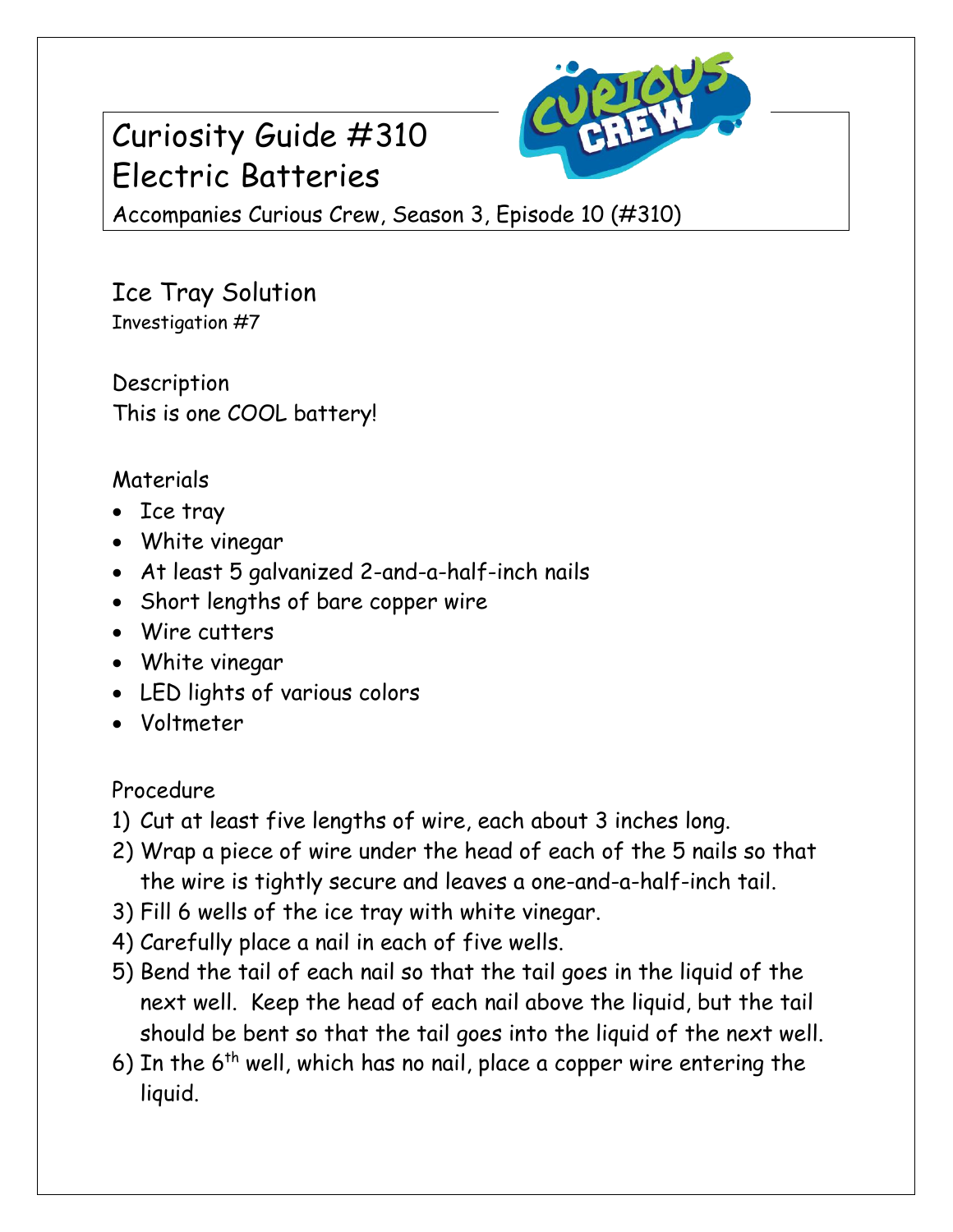## Curiosity Guide #310 Electric Batteries



Accompanies Curious Crew, Season 3, Episode 10 (#310)

Ice Tray Solution Investigation #7

Description This is one COOL battery!

## Materials

- Ice tray
- White vinegar
- At least 5 galvanized 2-and-a-half-inch nails
- Short lengths of bare copper wire
- Wire cutters
- White vinegar
- LED lights of various colors
- Voltmeter

Procedure

- 1) Cut at least five lengths of wire, each about 3 inches long.
- 2) Wrap a piece of wire under the head of each of the 5 nails so that the wire is tightly secure and leaves a one-and-a-half-inch tail.
- 3) Fill 6 wells of the ice tray with white vinegar.
- 4) Carefully place a nail in each of five wells.
- 5) Bend the tail of each nail so that the tail goes in the liquid of the next well. Keep the head of each nail above the liquid, but the tail should be bent so that the tail goes into the liquid of the next well.
- 6) In the  $6<sup>th</sup>$  well, which has no nail, place a copper wire entering the liquid.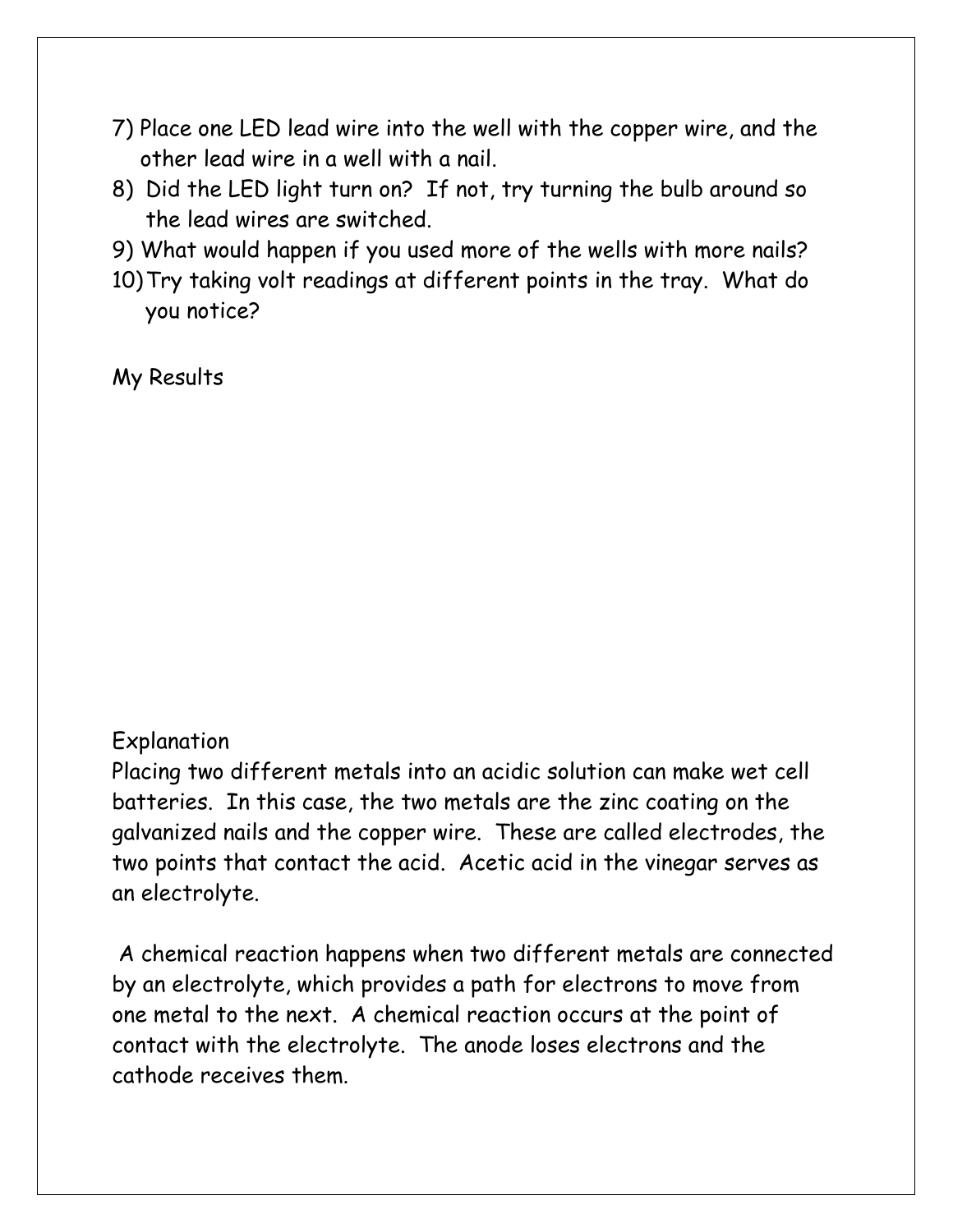- 7) Place one LED lead wire into the well with the copper wire, and the other lead wire in a well with a nail.
- 8) Did the LED light turn on? If not, try turning the bulb around so the lead wires are switched.
- 9) What would happen if you used more of the wells with more nails?
- 10)Try taking volt readings at different points in the tray. What do you notice?

My Results

## Explanation

Placing two different metals into an acidic solution can make wet cell batteries. In this case, the two metals are the zinc coating on the galvanized nails and the copper wire. These are called electrodes, the two points that contact the acid. Acetic acid in the vinegar serves as an electrolyte.

A chemical reaction happens when two different metals are connected by an electrolyte, which provides a path for electrons to move from one metal to the next. A chemical reaction occurs at the point of contact with the electrolyte. The anode loses electrons and the cathode receives them.